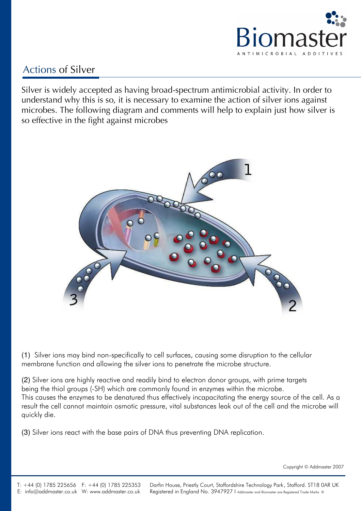

## Actions of Silver

Silver is widely accepted as having broad-spectrum antimicrobial activity. In order to understand why this is so, it is necessary to examine the action of silver ions against microbes. The following diagram and comments will help to explain just how silver is so effective in the fight against microbes



(1) Silver ions may bind non-specifically to cell surfaces, causing some disruption to the cellular membrane function and allowing the silver ions to penetrate the microbe structure.

(2) Silver ions are highly reactive and readily bind to electron donor groups, with prime targets being the thiol groups (-SH) which are commonly found in enzymes within the microbe. This causes the enzymes to be denatured thus effectively incapacitating the energy source of the cell. As a result the cell cannot maintain osmotic pressure, vital substances leak out of the cell and the microbe will quickly die.

(3) Silver ions react with the base pairs of DNA thus preventing DNA replication.

Copyright © Addmaster 2007